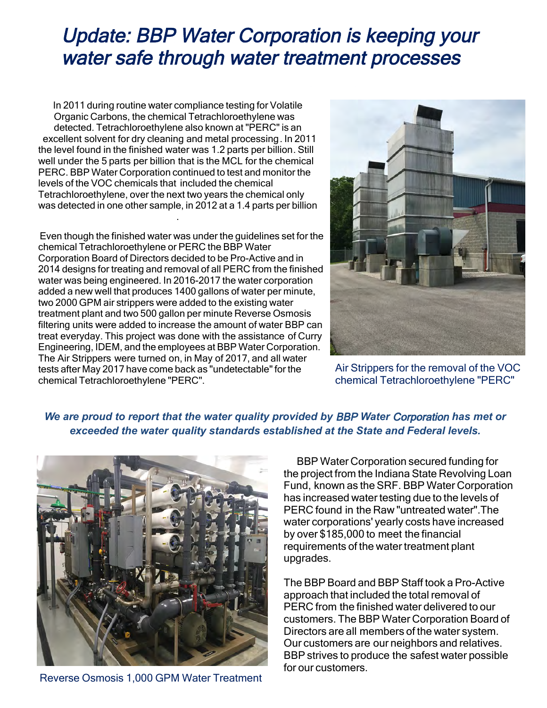# Update: BBP Water Corporation is keeping your water safe through water treatment processes

In 2011 during routine water compliance testing for Volatile Organic Carbons, the chemical Tetrachloroethylene was detected. Tetrachloroethylene also known at "PERC" is an excellent solvent for dry cleaning and metal processing. In 2011 the level found in the finished water was 1.2 parts per billion. Still well under the 5 parts per billion that is the MCL for the chemical<br>PERC, BBP Water Corporation continued to test and monitor the PERC. BBP Water Corporation continued to test and monitor the levels of the VOC chemicals that included the chemical Tetrachloroethylene, over the next two years the chemical only was detected in one other sample, in 2012 at a 1.4 parts per billion .

 Even though the finished water was under the guidelines set for the chemical Tetrachloroethylene or PERC the BBP Water Corporation Board of Directors decided to be Pro-Active and in 2014 designs for treating and removal of all PERC from the finished water was being engineered. In 2016-2017 the water corporation added a new well that produces 1400 gallons of water per minute, two 2000 GPM air strippers were added to the existing water treatment plant and two 500 gallon per minute Reverse Osmosis filtering units were added to increase the amount of water BBP can treat everyday. This project was done with the assistance of Curry Engineering, IDEM, and the employees at BBP Water Corporation. The Air Strippers were turned on, in May of 2017, and all water tests after May 2017 have come back as "undetectable"for the chemical Tetrachloroethylene "PERC". J



Air Strippers for the removal of the VOC chemical Tetrachloroethylene "PERC"

## *We are proud to report that the water quality provided by* BBP *Water* Corporation *has met or exceeded the water quality standards established at the State and Federal levels.*



Reverse Osmosis 1,000 GPM Water Treatment

BBP Water Corporation secured funding for the project from the Indiana State Revolving Loan Fund, known as the SRF. BBP Water Corporation has increased water testing due to the levels of PERC found in the Raw "untreated water".The water corporations' yearly costs have increased by over \$185,000 to meet the financial requirements of the water treatment plant upgrades.

The BBP Board and BBP Staff took a Pro-Active approach that included the total removal of PERC from the finished water delivered to our customers. The BBP Water Corporation Board of Directors are all members of the water system. Our customers are our neighbors and relatives. BBP strives to produce the safest water possible for our customers.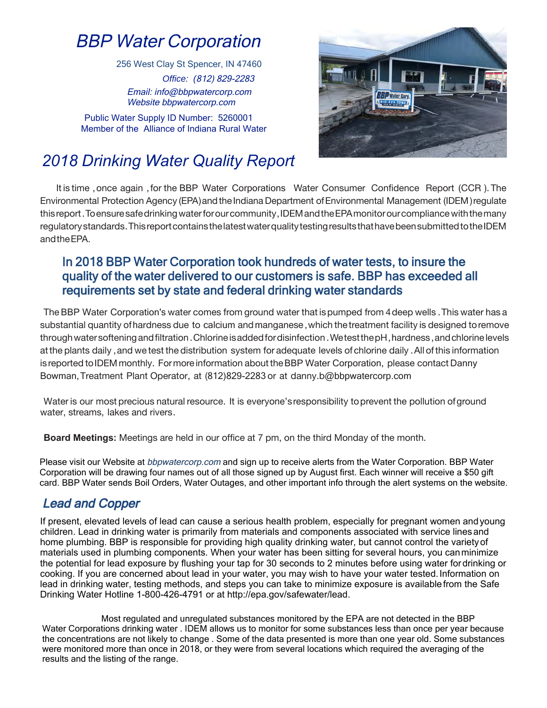# BBP Water Corporation

*Office: (*812) 829-2283 Email: info@bbpwatercorp.com 256 West Clay St Spencer, IN 47460

Public Water Supply ID Number: 5260001 Member of the Alliance of Indiana Rural Water

Website bbpwatercorp.com



# *2018 Drinking Water Quality Report*

It is time, once again, for the BBP Water Corporations Water Consumer Confidence Report (CCR). The Environmental Protection Agency (EPA) and the Indiana Department of Environmental Management (IDEM) regulate thisreport.Toensuresafedrinkingwaterforourcommunity,IDEMandtheEPAmonitorourcompliancewiththemany regulatory standards. This report contains the latest water quality testing results that have been submitted to the IDEM andtheEPA. 

#### In 2018 BBP Water Corporation took hundreds of water tests, to insure the anty of the water achievered to our castomicis is safe. L quality of the water delivered to our customers is safe. BBP has exceeded all requirements set by state and federal drinking water standards

The BBP Water Corporation's water comes from ground water that ispumped from 4deep wells .This water has a substantial quantity ofhardness due to calcium andmanganese,which thetreatment facility is designed toremove atthe plants daily ,and we test the distribution system for adequate levels of chlorine daily .All ofthis information throughwatersofteningandfiltration.Chlorineisaddedfordisinfection .WetestthepH,hardness,andchlorinelevels is reported toIDEMmonthly. Formore information abouttheBBP Water Corporation, please contact Danny Bowman,Treatment Plant Operator, at (812)829-2283 or at danny.b@bbpwatercorp.com  $\overline{D}$  DD Wetch  $\overline{C}$ 

Water is our most precious natural resource. It is everyone's responsibility to prevent the pollution of ground water, streams, lakes and rivers.

**Board Meetings:** Meetings are held in our office at 7 pm, on the third Monday of the month.

 Corporation will be drawing four names out of all those signed up by August first. Each winner will receive a \$50 gift Please visit our Website at *bbpwatercorp.com* and sign up to receive alerts from the Water Corporation. BBP Water  card. BBP Water sends Boil Orders, Water Outages, and other important info through the alert systems on the website.

## Lead and Copper

If present, elevated levels of lead can cause a serious health problem, especially for pregnant women andyoung children. Lead in drinking water is primarily from materials and components associated with service linesand home plumbing. BBP is responsible for providing high quality drinking water, but cannot control the varietyof materials used in plumbing components. When your water has been sitting for several hours, you canminimize the potential for lead exposure by flushing your tap for 30 seconds to 2 minutes before using water fordrinking or cooking. If you are concerned about lead in your water, you may wish to have your water tested.Information on lead in drinking water, testing methods, and steps you can take to minimize exposure is availablefrom the Safe Drinking Water Hotline 1-800-426-4791 or at http://epa.gov/safewater/lead.

 Water Corporations drinking water . IDEM allows us to monitor for some substances less than once per year because the concentrations are not likely to change . Some of the data presented is more than one year old. Some substances were monitored more than once in 2018, or they were from several locations which required the averaging of the Most regulated and unregulated substances monitored by the EPA are not detected in the BBP results and the listing of the range.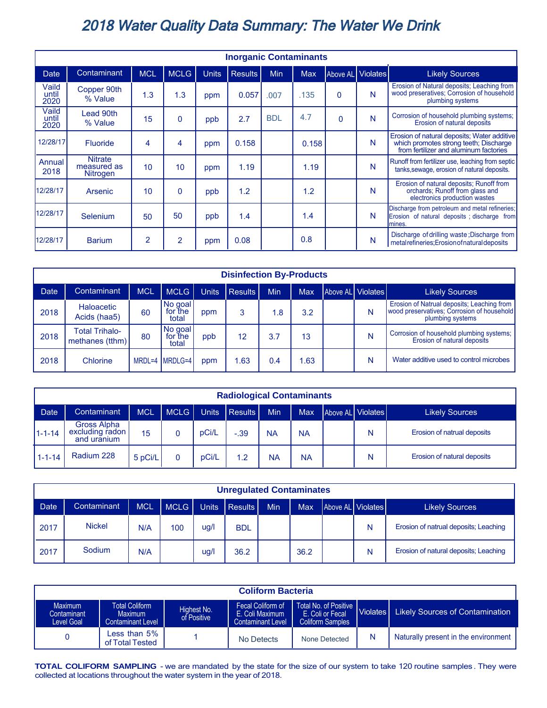## 2018 Water Quality Data Summary: The Water We Drink

| <b>Inorganic Contaminants</b> |                                           |                |                |              |                |            |            |                   |   |                                                                                                                                 |
|-------------------------------|-------------------------------------------|----------------|----------------|--------------|----------------|------------|------------|-------------------|---|---------------------------------------------------------------------------------------------------------------------------------|
| Date                          | Contaminant                               | <b>MCL</b>     | <b>MCLG</b>    | <b>Units</b> | <b>Results</b> | Min        | <b>Max</b> | Above AL Violates |   | <b>Likely Sources</b>                                                                                                           |
| Vaild<br>until<br>2020        | Copper 90th<br>% Value                    | 1.3            | 1.3            | ppm          | 0.057          | .007       | .135       | $\Omega$          | N | Erosion of Natural deposits; Leaching from<br>wood preseratives; Corrosion of household<br>plumbing systems                     |
| Vaild<br>until<br>2020        | Lead 90th<br>% Value                      | 15             | $\mathbf{0}$   | ppb          | 2.7            | <b>BDL</b> | 4.7        | $\mathbf{0}$      | N | Corrosion of household plumbing systems;<br>Erosion of natural deposits                                                         |
| 12/28/17                      | <b>Fluoride</b>                           | 4              | 4              | ppm          | 0.158          |            | 0.158      |                   | N | Erosion of natural deposits; Water additive<br>which promotes strong teeth; Discharge<br>from fertilizer and aluminum factories |
| Annual<br>2018                | <b>Nitrate</b><br>measured as<br>Nitrogen | 10             | 10             | ppm          | 1.19           |            | 1.19       |                   | N | Runoff from fertilizer use, leaching from septic<br>tanks, sewage, erosion of natural deposits.                                 |
| 12/28/17                      | Arsenic                                   | 10             | $\mathbf{0}$   | ppb          | 1.2            |            | 1.2        |                   | N | Erosion of natural deposits; Runoff from<br>orchards; Runoff from glass and<br>electronics production wastes                    |
| 12/28/17                      | Selenium                                  | 50             | 50             | ppb          | 1.4            |            | 1.4        |                   | N | Discharge from petroleum and metal refineries;<br>Erosion of natural deposits ; discharge from<br>Imines.                       |
| 12/28/17                      | <b>Barium</b>                             | $\overline{2}$ | $\overline{2}$ | ppm          | 0.08           |            | 0.8        |                   | N | Discharge of drilling waste; Discharge from<br>metal refineries; Erosion of natural deposits                                    |

| <b>Disinfection By-Products</b> |                                          |            |                                                                                         |              |                |     |     |                   |   |                                                                                                              |  |
|---------------------------------|------------------------------------------|------------|-----------------------------------------------------------------------------------------|--------------|----------------|-----|-----|-------------------|---|--------------------------------------------------------------------------------------------------------------|--|
| <b>Date</b>                     | Contaminant                              | <b>MCL</b> | <b>MCLG</b>                                                                             | <b>Units</b> | <b>Results</b> | Min | Max | Above AL Violates |   | <b>Likely Sources</b>                                                                                        |  |
| 2018                            | Haloacetic<br>Acids (haa5)               | 60         | $\left  \begin{array}{c} \text{No goal} \\ \text{for the} \end{array} \right $<br>total | ppm          | 3              | 1.8 | 3.2 |                   | N | Erosion of Natrual deposits; Leaching from<br>wood preservatives; Corrosion of household<br>plumbing systems |  |
| 2018                            | <b>Total Trihalo-</b><br>methanes (tthm) | 80         | No goal<br>for the<br>total                                                             | ppb          | 12             | 3.7 | 13  |                   | N | Corrosion of household plumbing systems;<br>Erosion of natural deposits                                      |  |
| 2018                            | Chlorine                                 |            | MRDL=4 MRDLG=4                                                                          | ppm          | .63            | 0.4 | .63 |                   | N | Water additive used to control microbes                                                                      |  |

| <b>Radiological Contaminants</b> |                                               |            |      |       |                |            |            |  |                   |                             |
|----------------------------------|-----------------------------------------------|------------|------|-------|----------------|------------|------------|--|-------------------|-----------------------------|
| <b>Date</b>                      | Contaminant                                   | <b>MCL</b> | MCLG | Units | <b>Results</b> | <b>Min</b> | <b>Max</b> |  | Above AL Violates | <b>Likely Sources</b>       |
| $1 - 1 - 14$                     | Gross Alpha<br>excluding radon<br>and uranium | 15         |      | pCi/L | $-.39$         | <b>NA</b>  | <b>NA</b>  |  | N                 | Erosion of natrual deposits |
| $1 - 1 - 14$                     | Radium 228                                    | 5 pCi/L    | 0    | pCi/L | 1.2            | <b>NA</b>  | <b>NA</b>  |  | N                 | Erosion of natural deposits |

| <b>Unregulated Contaminates</b> |               |            |        |       |            |            |            |  |                   |                                       |
|---------------------------------|---------------|------------|--------|-------|------------|------------|------------|--|-------------------|---------------------------------------|
| <b>Date</b>                     | Contaminant   | <b>MCL</b> | MCLG I | Units | Results    | <b>Min</b> | <b>Max</b> |  | Above AL Violates | <b>Likely Sources</b>                 |
| 2017                            | <b>Nickel</b> | N/A        | 100    | ug/l  | <b>BDL</b> |            |            |  | Ν                 | Erosion of natrual deposits; Leaching |
| 2017                            | Sodium        | N/A        |        | ug/l  | 36.2       |            | 36.2       |  | N                 | Erosion of natural deposits; Leaching |

| <b>Coliform Bacteria</b>                    |                                                                                            |  |                                                                  |                                                                        |   |                                                      |  |  |  |  |  |
|---------------------------------------------|--------------------------------------------------------------------------------------------|--|------------------------------------------------------------------|------------------------------------------------------------------------|---|------------------------------------------------------|--|--|--|--|--|
| <b>Maximum</b><br>Contaminant<br>Level Goal | <b>Total Coliform</b><br>Highest No.<br>Maximum<br>of Positive<br><b>Contaminant Level</b> |  | Fecal Coliform of<br>E. Coli Maximum<br><b>Contaminant Level</b> | Total No. of Positive  <br>E. Coli or Fecal<br><b>Coliform Samples</b> |   | <b>Likely Sources of Contamination</b><br>Violates I |  |  |  |  |  |
|                                             | Less than 5% $\,$<br>of Total Tested                                                       |  | No Detects                                                       | None Detected                                                          | N | Naturally present in the environment                 |  |  |  |  |  |

**TOTAL COLIFORM SAMPLING** - we are mandated by the state for the size of our system to take 120 routine samples . They were collected at locations throughout the water system in the year of 2018.